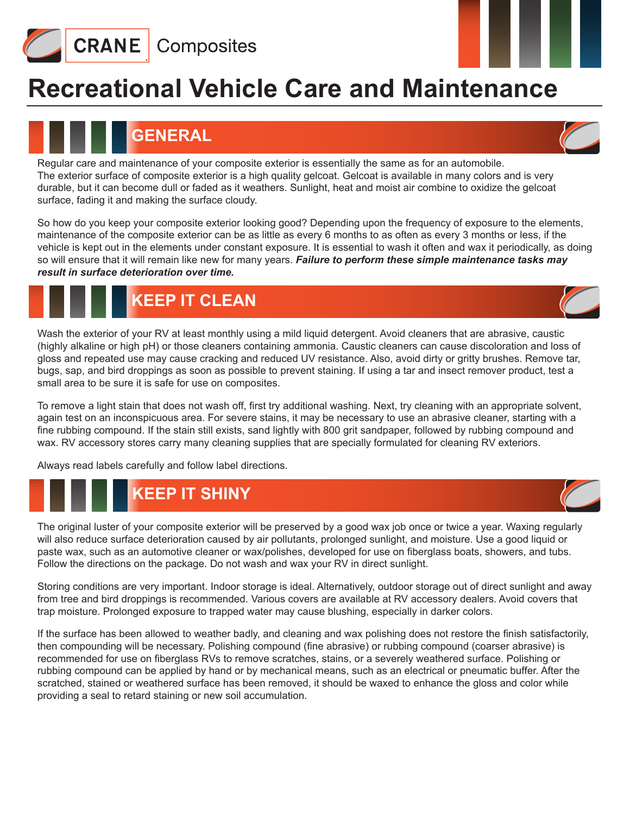

# **Recreational Vehicle Care and Maintenance**

### **GENERAL**

Regular care and maintenance of your composite exterior is essentially the same as for an automobile. The exterior surface of composite exterior is a high quality gelcoat. Gelcoat is available in many colors and is very durable, but it can become dull or faded as it weathers. Sunlight, heat and moist air combine to oxidize the gelcoat surface, fading it and making the surface cloudy.

So how do you keep your composite exterior looking good? Depending upon the frequency of exposure to the elements, maintenance of the composite exterior can be as little as every 6 months to as often as every 3 months or less, if the vehicle is kept out in the elements under constant exposure. It is essential to wash it often and wax it periodically, as doing so will ensure that it will remain like new for many years. *Failure to perform these simple maintenance tasks may result in surface deterioration over time.*

## **KEEP IT CLEAN**



Wash the exterior of your RV at least monthly using a mild liquid detergent. Avoid cleaners that are abrasive, caustic (highly alkaline or high pH) or those cleaners containing ammonia. Caustic cleaners can cause discoloration and loss of gloss and repeated use may cause cracking and reduced UV resistance. Also, avoid dirty or gritty brushes. Remove tar, bugs, sap, and bird droppings as soon as possible to prevent staining. If using a tar and insect remover product, test a small area to be sure it is safe for use on composites.

To remove a light stain that does not wash off, first try additional washing. Next, try cleaning with an appropriate solvent, again test on an inconspicuous area. For severe stains, it may be necessary to use an abrasive cleaner, starting with a fine rubbing compound. If the stain still exists, sand lightly with 800 grit sandpaper, followed by rubbing compound and wax. RV accessory stores carry many cleaning supplies that are specially formulated for cleaning RV exteriors.

Always read labels carefully and follow label directions.

## **KEEP IT SHINY**

The original luster of your composite exterior will be preserved by a good wax job once or twice a year. Waxing regularly will also reduce surface deterioration caused by air pollutants, prolonged sunlight, and moisture. Use a good liquid or paste wax, such as an automotive cleaner or wax/polishes, developed for use on fiberglass boats, showers, and tubs. Follow the directions on the package. Do not wash and wax your RV in direct sunlight.

Storing conditions are very important. Indoor storage is ideal. Alternatively, outdoor storage out of direct sunlight and away from tree and bird droppings is recommended. Various covers are available at RV accessory dealers. Avoid covers that trap moisture. Prolonged exposure to trapped water may cause blushing, especially in darker colors.

If the surface has been allowed to weather badly, and cleaning and wax polishing does not restore the finish satisfactorily, then compounding will be necessary. Polishing compound (fine abrasive) or rubbing compound (coarser abrasive) is recommended for use on fiberglass RVs to remove scratches, stains, or a severely weathered surface. Polishing or rubbing compound can be applied by hand or by mechanical means, such as an electrical or pneumatic buffer. After the scratched, stained or weathered surface has been removed, it should be waxed to enhance the gloss and color while providing a seal to retard staining or new soil accumulation.